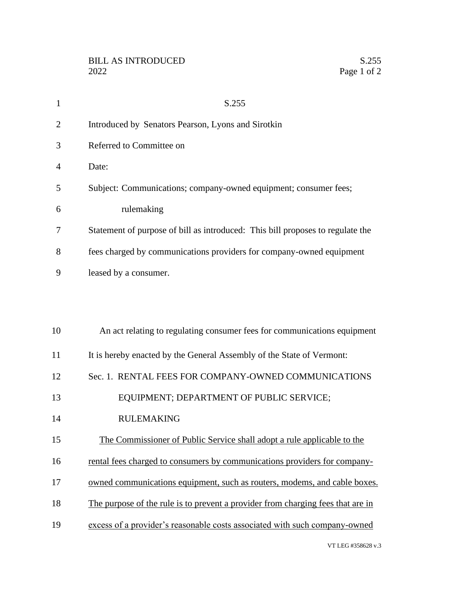| $\mathbf{1}$   | S.255                                                                           |
|----------------|---------------------------------------------------------------------------------|
| $\overline{2}$ | Introduced by Senators Pearson, Lyons and Sirotkin                              |
| 3              | Referred to Committee on                                                        |
| 4              | Date:                                                                           |
| 5              | Subject: Communications; company-owned equipment; consumer fees;                |
| 6              | rulemaking                                                                      |
| 7              | Statement of purpose of bill as introduced: This bill proposes to regulate the  |
| 8              | fees charged by communications providers for company-owned equipment            |
| 9              | leased by a consumer.                                                           |
|                |                                                                                 |
|                |                                                                                 |
| 10             | An act relating to regulating consumer fees for communications equipment        |
| 11             | It is hereby enacted by the General Assembly of the State of Vermont:           |
| 12             | Sec. 1. RENTAL FEES FOR COMPANY-OWNED COMMUNICATIONS                            |
| 13             | EQUIPMENT; DEPARTMENT OF PUBLIC SERVICE;                                        |
| 14             | <b>RULEMAKING</b>                                                               |
| 15             | The Commissioner of Public Service shall adopt a rule applicable to the         |
| 16             | rental fees charged to consumers by communications providers for company-       |
| 17             | owned communications equipment, such as routers, modems, and cable boxes.       |
| 18             | The purpose of the rule is to prevent a provider from charging fees that are in |
| 19             | excess of a provider's reasonable costs associated with such company-owned      |
|                |                                                                                 |